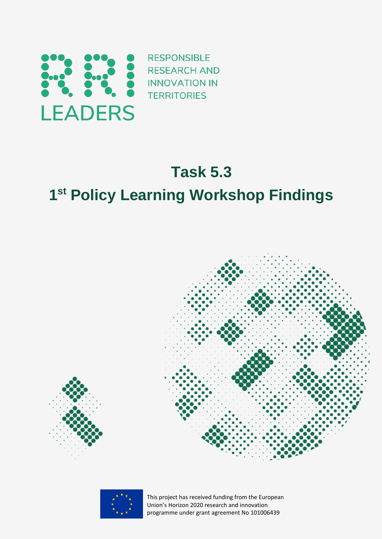

# **Task 5.3 1st Policy Learning Workshop Findings**







This project has received funding from the European Union's Horizon 2020 research and innovation programme under grant agreement No 101006439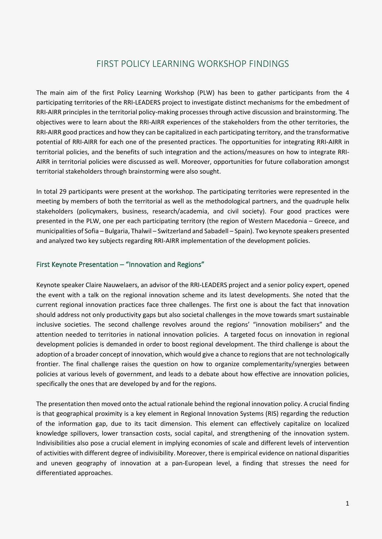## FIRST POLICY LEARNING WORKSHOP FINDINGS

The main aim of the first Policy Learning Workshop (PLW) has been to gather participants from the 4 participating territories of the RRI-LEADERS project to investigate distinct mechanisms for the embedment of RRI-AIRR principles in the territorial policy-making processesthrough active discussion and brainstorming. The objectives were to learn about the RRI-AIRR experiences of the stakeholders from the other territories, the RRI-AIRR good practices and how they can be capitalized in each participating territory, and the transformative potential of RRI-AIRR for each one of the presented practices. The opportunities for integrating RRI-AIRR in territorial policies, and the benefits of such integration and the actions/measures on how to integrate RRI-AIRR in territorial policies were discussed as well. Moreover, opportunities for future collaboration amongst territorial stakeholders through brainstorming were also sought.

In total 29 participants were present at the workshop. The participating territories were represented in the meeting by members of both the territorial as well as the methodological partners, and the quadruple helix stakeholders (policymakers, business, research/academia, and civil society). Four good practices were presented in the PLW, one per each participating territory (the region of Western Macedonia – Greece, and municipalities of Sofia – Bulgaria, Thalwil – Switzerland and Sabadell – Spain). Two keynote speakers presented and analyzed two key subjects regarding RRI-AIRR implementation of the development policies.

### First Keynote Presentation – "Innovation and Regions"

Keynote speaker Claire Nauwelaers, an advisor of the RRI-LEADERS project and a senior policy expert, opened the event with a talk on the regional innovation scheme and its latest developments. She noted that the current regional innovation practices face three challenges. The first one is about the fact that innovation should address not only productivity gaps but also societal challenges in the move towards smart sustainable inclusive societies. The second challenge revolves around the regions' "innovation mobilisers" and the attention needed to territories in national innovation policies. Α targeted focus on innovation in regional development policies is demanded in order to boost regional development. The third challenge is about the adoption of a broader concept of innovation, which would give a chance to regions that are not technologically frontier. The final challenge raises the question on how to organize complementarity/synergies between policies at various levels of government, and leads to a debate about how effective are innovation policies, specifically the ones that are developed by and for the regions.

The presentation then moved onto the actual rationale behind the regional innovation policy. A crucial finding is that geographical proximity is a key element in Regional Innovation Systems (RIS) regarding the reduction of the information gap, due to its tacit dimension. This element can effectively capitalize on localized knowledge spillovers, lower transaction costs, social capital, and strengthening of the innovation system. Indivisibilities also pose a crucial element in implying economies of scale and different levels of intervention of activities with different degree of indivisibility. Moreover, there is empirical evidence on national disparities and uneven geography of innovation at a pan-European level, a finding that stresses the need for differentiated approaches.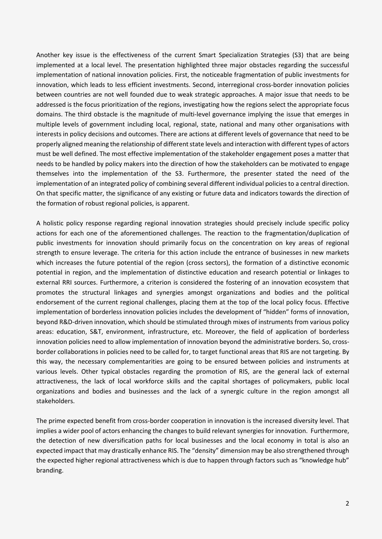Another key issue is the effectiveness of the current Smart Specialization Strategies (S3) that are being implemented at a local level. The presentation highlighted three major obstacles regarding the successful implementation of national innovation policies. First, the noticeable fragmentation of public investments for innovation, which leads to less efficient investments. Second, interregional cross-border innovation policies between countries are not well founded due to weak strategic approaches. A major issue that needs to be addressed is the focus prioritization of the regions, investigating how the regions select the appropriate focus domains. The third obstacle is the magnitude of multi-level governance implying the issue that emerges in multiple levels of government including local, regional, state, national and many other organisations with interests in policy decisions and outcomes. There are actions at different levels of governance that need to be properly aligned meaning the relationship of different state levels and interaction with different types of actors must be well defined. The most effective implementation of the stakeholder engagement poses a matter that needs to be handled by policy makers into the direction of how the stakeholders can be motivated to engage themselves into the implementation of the S3. Furthermore, the presenter stated the need of the implementation of an integrated policy of combining several different individual policies to a central direction. On that specific matter, the significance of any existing or future data and indicators towards the direction of the formation of robust regional policies, is apparent.

A holistic policy response regarding regional innovation strategies should precisely include specific policy actions for each one of the aforementioned challenges. The reaction to the fragmentation/duplication of public investments for innovation should primarily focus on the concentration on key areas of regional strength to ensure leverage. The criteria for this action include the entrance of businesses in new markets which increases the future potential of the region (cross sectors), the formation of a distinctive economic potential in region, and the implementation of distinctive education and research potential or linkages to external RRI sources. Furthermore, a criterion is considered the fostering of an innovation ecosystem that promotes the structural linkages and synergies amongst organizations and bodies and the political endorsement of the current regional challenges, placing them at the top of the local policy focus. Effective implementation of borderless innovation policies includes the development of "hidden" forms of innovation, beyond R&D-driven innovation, which should be stimulated through mixes of instruments from various policy areas: education, S&T, environment, infrastructure, etc. Moreover, the field of application of borderless innovation policies need to allow implementation of innovation beyond the administrative borders. So, crossborder collaborations in policies need to be called for, to target functional areas that RIS are not targeting. By this way, the necessary complementarities are going to be ensured between policies and instruments at various levels. Other typical obstacles regarding the promotion of RIS, are the general lack of external attractiveness, the lack of local workforce skills and the capital shortages of policymakers, public local organizations and bodies and businesses and the lack of a synergic culture in the region amongst all stakeholders.

The prime expected benefit from cross-border cooperation in innovation is the increased diversity level. That implies a wider pool of actors enhancing the changes to build relevant synergies for innovation. Furthermore, the detection of new diversification paths for local businesses and the local economy in total is also an expected impact that may drastically enhance RIS. The "density" dimension may be also strengthened through the expected higher regional attractiveness which is due to happen through factors such as "knowledge hub" branding.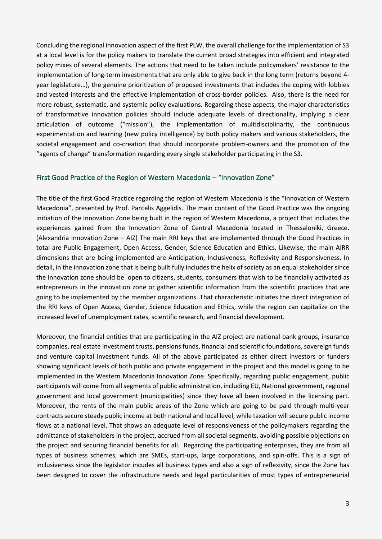Concluding the regional innovation aspect of the first PLW, the overall challenge for the implementation of S3 at a local level is for the policy makers to translate the current broad strategies into efficient and integrated policy mixes of several elements. The actions that need to be taken include policymakers' resistance to the implementation of long-term investments that are only able to give back in the long term (returns beyond 4 year legislature…), the genuine prioritization of proposed investments that includes the coping with lobbies and vested interests and the effective implementation of cross-border policies. Also, there is the need for more robust, systematic, and systemic policy evaluations. Regarding these aspects, the major characteristics of transformative innovation policies should include adequate levels of directionality, implying a clear articulation of outcome ("mission"), the implementation of multidisciplinarity, the continuous experimentation and learning (new policy intelligence) by both policy makers and various stakeholders, the societal engagement and co-creation that should incorporate problem-owners and the promotion of the "agents of change" transformation regarding every single stakeholder participating in the S3.

#### First Good Practice of the Region of Western Macedonia – "Innovation Zone"

The title of the first Good Practice regarding the region of Western Macedonia is the "Innovation of Western Macedonia", presented by Prof. Pantelis Aggelidis. The main content of the Good Practice was the ongoing initiation of the Innovation Zone being built in the region of Western Macedonia, a project that includes the experiences gained from the Innovation Zone of Central Macedonia located in Thessaloniki, Greece. (Alexandria Innovation Zone – AIZ) The main RRI keys that are implemented through the Good Practices in total are Public Engagement, Open Access, Gender, Science Education and Ethics. Likewise, the main AIRR dimensions that are being implemented are Anticipation, Inclusiveness, Reflexivity and Responsiveness. In detail, in the innovation zone that is being built fully includes the helix of society as an equal stakeholder since the innovation zone should be open to citizens, students, consumers that wish to be financially activated as entrepreneurs in the innovation zone or gather scientific information from the scientific practices that are going to be implemented by the member organizations. That characteristic initiates the direct integration of the RRI keys of Open Access, Gender, Science Education and Ethics, while the region can capitalize on the increased level of unemployment rates, scientific research, and financial development.

Moreover, the financial entities that are participating in the AIZ project are national bank groups, insurance companies, real estate investment trusts, pensions funds, financial and scientific foundations, sovereign funds and venture capital investment funds. All of the above participated as either direct investors or funders showing significant levels of both public and private engagement in the project and this model is going to be implemented in the Western Macedonia Innovation Zone. Specifically, regarding public engagement, public participants will come from all segments of public administration, including EU, National government, regional government and local government (municipalities) since they have all been involved in the licensing part. Moreover, the rents of the main public areas of the Zone which are going to be paid through multi-year contractssecure steady public income at both national and local level, while taxation will secure public income flows at a national level. That shows an adequate level of responsiveness of the policymakers regarding the admittance of stakeholders in the project, accrued from all societal segments, avoiding possible objections on the project and securing financial benefits for all. Regarding the participating enterprises, they are from all types of business schemes, which are SMEs, start-ups, large corporations, and spin-offs. This is a sign of inclusiveness since the legislator incudes all business types and also a sign of reflexivity, since the Zone has been designed to cover the infrastructure needs and legal particularities of most types of entrepreneurial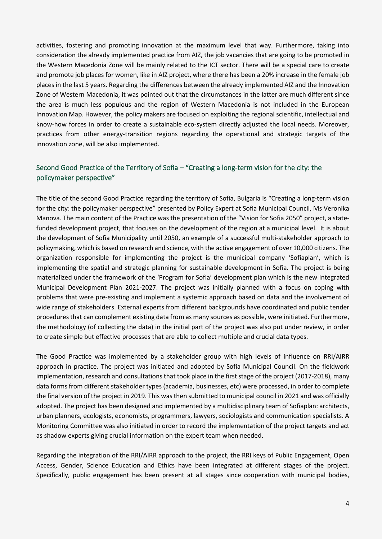activities, fostering and promoting innovation at the maximum level that way. Furthermore, taking into consideration the already implemented practice from AIZ, the job vacancies that are going to be promoted in the Western Macedonia Zone will be mainly related to the ICT sector. There will be a special care to create and promote job places for women, like in AIZ project, where there has been a 20% increase in the female job places in the last 5 years. Regarding the differences between the already implemented AIZ and the Innovation Zone of Western Macedonia, it was pointed out that the circumstances in the latter are much different since the area is much less populous and the region of Western Macedonia is not included in the European Innovation Map. However, the policy makers are focused on exploiting the regional scientific, intellectual and know-how forces in order to create a sustainable eco-system directly adjusted the local needs. Moreover, practices from other energy-transition regions regarding the operational and strategic targets of the innovation zone, will be also implemented.

## Second Good Practice of the Territory of Sofia – "Creating a long-term vision for the city: the policymaker perspective"

The title of the second Good Practice regarding the territory of Sofia, Bulgaria is "Creating a long-term vision for the city: the policymaker perspective" presented by Policy Expert at Sofia Municipal Council, Ms Veronika Manova. The main content of the Practice was the presentation of the "Vision for Sofia 2050" project, a statefunded development project, that focuses on the development of the region at a municipal level. It is about the development of Sofia Municipality until 2050, an example of a successful multi-stakeholder approach to policymaking, which is based on research and science, with the active engagement of over 10,000 citizens. The organization responsible for implementing the project is the municipal company 'Sofiaplan', which is implementing the spatial and strategic planning for sustainable development in Sofia. The project is being materialized under the framework of the 'Program for Sofia' development plan which is the new Integrated Municipal Development Plan 2021-2027. The project was initially planned with a focus on coping with problems that were pre-existing and implement a systemic approach based on data and the involvement of wide range of stakeholders. External experts from different backgrounds have coordinated and public tender procedures that can complement existing data from as many sources as possible, were initiated. Furthermore, the methodology (of collecting the data) in the initial part of the project was also put under review, in order to create simple but effective processes that are able to collect multiple and crucial data types.

The Good Practice was implemented by a stakeholder group with high levels of influence on RRI/AIRR approach in practice. The project was initiated and adopted by Sofia Municipal Council. On the fieldwork implementation, research and consultations that took place in the first stage of the project (2017-2018), many data forms from different stakeholder types (academia, businesses, etc) were processed, in order to complete the final version of the project in 2019. This was then submitted to municipal council in 2021 and was officially adopted. The project has been designed and implemented by a multidisciplinary team of Sofiaplan: architects, urban planners, ecologists, economists, programmers, lawyers, sociologists and communication specialists. A Monitoring Committee was also initiated in order to record the implementation of the project targets and act as shadow experts giving crucial information on the expert team when needed.

Regarding the integration of the RRI/AIRR approach to the project, the RRI keys of Public Engagement, Open Access, Gender, Science Education and Ethics have been integrated at different stages of the project. Specifically, public engagement has been present at all stages since cooperation with municipal bodies,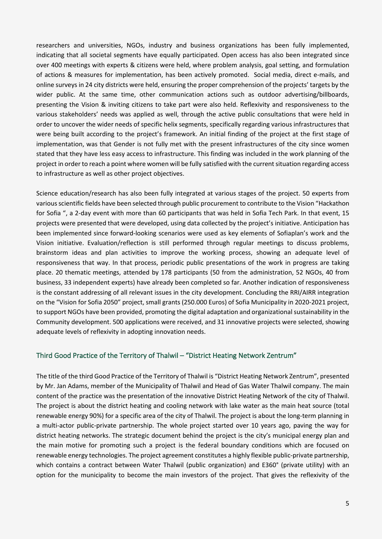researchers and universities, NGOs, industry and business organizations has been fully implemented, indicating that all societal segments have equally participated. Open access has also been integrated since over 400 meetings with experts & citizens were held, where problem analysis, goal setting, and formulation of actions & measures for implementation, has been actively promoted. Social media, direct e-mails, and online surveys in 24 city districts were held, ensuring the proper comprehension of the projects' targets by the wider public. At the same time, other communication actions such as outdoor advertising/billboards, presenting the Vision & inviting citizens to take part were also held. Reflexivity and responsiveness to the various stakeholders' needs was applied as well, through the active public consultations that were held in order to uncover the wider needs of specific helix segments, specifically regarding various infrastructures that were being built according to the project's framework. An initial finding of the project at the first stage of implementation, was that Gender is not fully met with the present infrastructures of the city since women stated that they have less easy access to infrastructure. This finding was included in the work planning of the project in order to reach a point where women will be fully satisfied with the current situation regarding access to infrastructure as well as other project objectives.

Science education/research has also been fully integrated at various stages of the project. 50 experts from various scientific fields have been selected through public procurement to contribute to the Vision "Hackathon for Sofia ", a 2-day event with more than 60 participants that was held in Sofia Tech Park. In that event, 15 projects were presented that were developed, using data collected by the project's initiative. Anticipation has been implemented since forward-looking scenarios were used as key elements of Sofiaplan's work and the Vision initiative. Evaluation/reflection is still performed through regular meetings to discuss problems, brainstorm ideas and plan activities to improve the working process, showing an adequate level of responsiveness that way. In that process, periodic public presentations of the work in progress are taking place. 20 thematic meetings, attended by 178 participants (50 from the administration, 52 NGOs, 40 from business, 33 independent experts) have already been completed so far. Another indication of responsiveness is the constant addressing of all relevant issues in the city development. Concluding the RRI/AIRR integration on the "Vision for Sofia 2050" project, small grants (250.000 Euros) of Sofia Municipality in 2020-2021 project, to support NGOs have been provided, promoting the digital adaptation and organizational sustainability in the Community development. 500 applications were received, and 31 innovative projects were selected, showing adequate levels of reflexivity in adopting innovation needs.

#### Third Good Practice of the Territory of Thalwil – "District Heating Network Zentrum"

The title of the third Good Practice of the Territory of Thalwil is "District Heating Network Zentrum", presented by Mr. Jan Adams, member of the Municipality of Thalwil and Head of Gas Water Thalwil company. The main content of the practice was the presentation of the innovative District Heating Network of the city of Thalwil. The project is about the district heating and cooling network with lake water as the main heat source (total renewable energy 90%) for a specific area of the city of Thalwil. The project is about the long-term planning in a multi-actor public-private partnership. The whole project started over 10 years ago, paving the way for district heating networks. The strategic document behind the project is the city's municipal energy plan and the main motive for promoting such a project is the federal boundary conditions which are focused on renewable energy technologies. The project agreement constitutes a highly flexible public-private partnership, which contains a contract between Water Thalwil (public organization) and E360° (private utility) with an option for the municipality to become the main investors of the project. That gives the reflexivity of the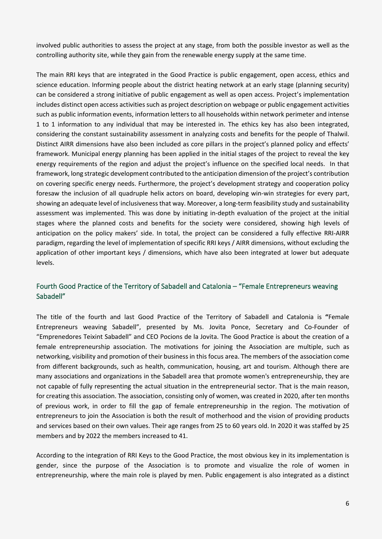involved public authorities to assess the project at any stage, from both the possible investor as well as the controlling authority site, while they gain from the renewable energy supply at the same time.

The main RRI keys that are integrated in the Good Practice is public engagement, open access, ethics and science education. Informing people about the district heating network at an early stage (planning security) can be considered a strong initiative of public engagement as well as open access. Project's implementation includes distinct open access activities such as project description on webpage or public engagement activities such as public information events, information letters to all households within network perimeter and intense 1 to 1 information to any individual that may be interested in. The ethics key has also been integrated, considering the constant sustainability assessment in analyzing costs and benefits for the people of Thalwil. Distinct AIRR dimensions have also been included as core pillars in the project's planned policy and effects' framework. Municipal energy planning has been applied in the initial stages of the project to reveal the key energy requirements of the region and adjust the project's influence on the specified local needs. In that framework, long strategic development contributed to the anticipation dimension of the project's contribution on covering specific energy needs. Furthermore, the project's development strategy and cooperation policy foresaw the inclusion of all quadruple helix actors on board, developing win-win strategies for every part, showing an adequate level of inclusivenessthat way. Moreover, a long-term feasibility study and sustainability assessment was implemented. This was done by initiating in-depth evaluation of the project at the initial stages where the planned costs and benefits for the society were considered, showing high levels of anticipation on the policy makers' side. In total, the project can be considered a fully effective RRI-AIRR paradigm, regarding the level of implementation of specific RRI keys / AIRR dimensions, without excluding the application of other important keys / dimensions, which have also been integrated at lower but adequate levels.

## Fourth Good Practice of the Territory of Sabadell and Catalonia – "Female Entrepreneurs weaving Sabadell"

The title of the fourth and last Good Practice of the Territory of Sabadell and Catalonia is **"**Female Entrepreneurs weaving Sabadell", presented by Ms. Jovita Ponce, Secretary and Co-Founder of "Emprenedores Teixint Sabadell" and CEO Pocions de la Jovita. The Good Practice is about the creation of a female entrepreneurship association. The motivations for joining the Association are multiple, such as networking, visibility and promotion of their business in this focus area. The members of the association come from different backgrounds, such as health, communication, housing, art and tourism. Although there are many associations and organizations in the Sabadell area that promote women's entrepreneurship, they are not capable of fully representing the actual situation in the entrepreneurial sector. That is the main reason, for creating this association. The association, consisting only of women, was created in 2020, after ten months of previous work, in order to fill the gap of female entrepreneurship in the region. The motivation of entrepreneurs to join the Association is both the result of motherhood and the vision of providing products and services based on their own values. Their age ranges from 25 to 60 years old. In 2020 it was staffed by 25 members and by 2022 the members increased to 41.

According to the integration of RRI Keys to the Good Practice, the most obvious key in its implementation is gender, since the purpose of the Association is to promote and visualize the role of women in entrepreneurship, where the main role is played by men. Public engagement is also integrated as a distinct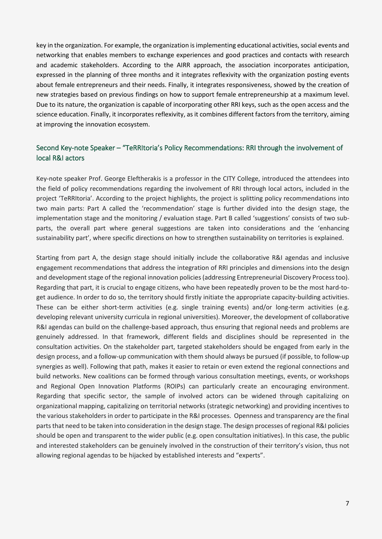key in the organization. For example, the organization is implementing educational activities, social events and networking that enables members to exchange experiences and good practices and contacts with research and academic stakeholders. According to the AIRR approach, the association incorporates anticipation, expressed in the planning of three months and it integrates reflexivity with the organization posting events about female entrepreneurs and their needs. Finally, it integrates responsiveness, showed by the creation of new strategies based on previous findings on how to support female entrepreneurship at a maximum level. Due to its nature, the organization is capable of incorporating other RRI keys, such as the open access and the science education. Finally, it incorporates reflexivity, as it combines different factors from the territory, aiming at improving the innovation ecosystem.

## Second Key-note Speaker – "TeRRItoria's Policy Recommendations: RRI through the involvement of local R&I actors

Key-note speaker Prof. George Eleftherakis is a professor in the CITY College, introduced the attendees into the field of policy recommendations regarding the involvement of RRI through local actors, included in the project 'TeRRItoria'. According to the project highlights, the project is splitting policy recommendations into two main parts: Part A called the 'recommendation' stage is further divided into the design stage, the implementation stage and the monitoring / evaluation stage. Part B called 'suggestions' consists of two subparts, the overall part where general suggestions are taken into considerations and the 'enhancing sustainability part', where specific directions on how to strengthen sustainability on territories is explained.

Starting from part A, the design stage should initially include the collaborative R&I agendas and inclusive engagement recommendations that address the integration of RRI principles and dimensions into the design and development stage of the regional innovation policies (addressing Entrepreneurial Discovery Process too). Regarding that part, it is crucial to engage citizens, who have been repeatedly proven to be the most hard-toget audience. In order to do so, the territory should firstly initiate the appropriate capacity-building activities. These can be either short-term activities (e.g. single training events) and/or long-term activities (e.g. developing relevant university curricula in regional universities). Moreover, the development of collaborative R&I agendas can build on the challenge-based approach, thus ensuring that regional needs and problems are genuinely addressed. In that framework, different fields and disciplines should be represented in the consultation activities. On the stakeholder part, targeted stakeholders should be engaged from early in the design process, and a follow-up communication with them should always be pursued (if possible, to follow-up synergies as well). Following that path, makes it easier to retain or even extend the regional connections and build networks. New coalitions can be formed through various consultation meetings, events, or workshops and Regional Open Innovation Platforms (ROIPs) can particularly create an encouraging environment. Regarding that specific sector, the sample of involved actors can be widened through capitalizing on organizational mapping, capitalizing on territorial networks (strategic networking) and providing incentives to the various stakeholders in order to participate in the R&I processes. Openness and transparency are the final parts that need to be taken into consideration in the design stage. The design processes of regional R&I policies should be open and transparent to the wider public (e.g. open consultation initiatives). In this case, the public and interested stakeholders can be genuinely involved in the construction of their territory's vision, thus not allowing regional agendas to be hijacked by established interests and "experts".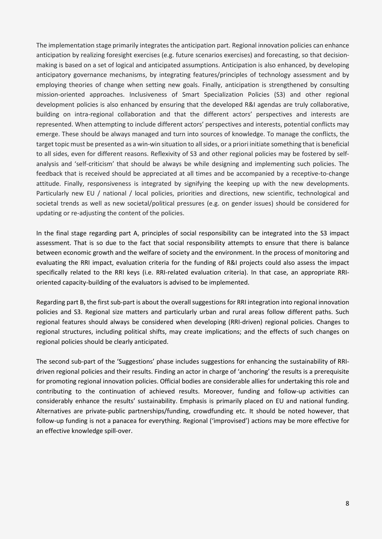The implementation stage primarily integrates the anticipation part. Regional innovation policies can enhance anticipation by realizing foresight exercises (e.g. future scenarios exercises) and forecasting, so that decisionmaking is based on a set of logical and anticipated assumptions. Anticipation is also enhanced, by developing anticipatory governance mechanisms, by integrating features/principles of technology assessment and by employing theories of change when setting new goals. Finally, anticipation is strengthened by consulting mission-oriented approaches. Inclusiveness of Smart Specialization Policies (S3) and other regional development policies is also enhanced by ensuring that the developed R&I agendas are truly collaborative, building on intra-regional collaboration and that the different actors' perspectives and interests are represented. When attempting to include different actors' perspectives and interests, potential conflicts may emerge. These should be always managed and turn into sources of knowledge. To manage the conflicts, the target topic must be presented as a win-win situation to all sides, or a priori initiate something that is beneficial to all sides, even for different reasons. Reflexivity of S3 and other regional policies may be fostered by selfanalysis and 'self-criticism' that should be always be while designing and implementing such policies. The feedback that is received should be appreciated at all times and be accompanied by a receptive-to-change attitude. Finally, responsiveness is integrated by signifying the keeping up with the new developments. Particularly new EU / national / local policies, priorities and directions, new scientific, technological and societal trends as well as new societal/political pressures (e.g. on gender issues) should be considered for updating or re-adjusting the content of the policies.

In the final stage regarding part A, principles of social responsibility can be integrated into the S3 impact assessment. That is so due to the fact that social responsibility attempts to ensure that there is balance between economic growth and the welfare of society and the environment. In the process of monitoring and evaluating the RRI impact, evaluation criteria for the funding of R&I projects could also assess the impact specifically related to the RRI keys (i.e. RRI-related evaluation criteria). In that case, an appropriate RRIoriented capacity-building of the evaluators is advised to be implemented.

Regarding part B, the first sub-part is about the overall suggestions for RRI integration into regional innovation policies and S3. Regional size matters and particularly urban and rural areas follow different paths. Such regional features should always be considered when developing (RRI-driven) regional policies. Changes to regional structures, including political shifts, may create implications; and the effects of such changes on regional policies should be clearly anticipated.

The second sub-part of the 'Suggestions' phase includes suggestions for enhancing the sustainability of RRIdriven regional policies and their results. Finding an actor in charge of 'anchoring' the results is a prerequisite for promoting regional innovation policies. Official bodies are considerable allies for undertaking this role and contributing to the continuation of achieved results. Moreover, funding and follow-up activities can considerably enhance the results' sustainability. Emphasis is primarily placed on EU and national funding. Alternatives are private-public partnerships/funding, crowdfunding etc. It should be noted however, that follow-up funding is not a panacea for everything. Regional ('improvised') actions may be more effective for an effective knowledge spill-over.